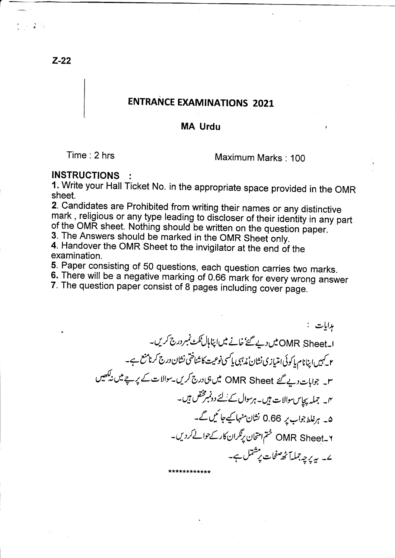**ENTRANCE EXAMINATIONS 2021** 

## **MA Urdu**

 $Time: 2 hrs$ 

Maximum Marks: 100

### **INSTRUCTIONS**

1. Write your Hall Ticket No. in the appropriate space provided in the OMR sheet.

2. Candidates are Prohibited from writing their names or any distinctive mark, religious or any type leading to discloser of their identity in any part of the OMR sheet. Nothing should be written on the question paper.

3. The Answers should be marked in the OMR Sheet only.

4. Handover the OMR Sheet to the invigilator at the end of the examination.

5. Paper consisting of 50 questions, each question carries two marks.

6. There will be a negative marking of 0.66 mark for every wrong answer

7. The question paper consist of 8 pages including cover page.

ہدایات : ا۔OMR Sheet میں دیے گئے' خانے میں اپنا ہال ٹکٹ نمبر درج کریں۔ ۲ کیمیں اپنانام پاکوئی امتیازی نشان ٔ مذہبی پاکسی نوعیت کاشناختی نشان درج کرنامنع ہے۔ ۳۔ جوابات دیے گئے OMR Sheet میں ہی درج کریں۔سوالات کے یرجے میں نہ کھیں <sup>م</sup>ا۔ جملہ پچاس سوالات ہیں۔ہرسوال کے لئے دونمبرمختص ہیں۔ ۵۔ ہرغلط جواب یر 0.66 نشان منہا کیے جا ٹیں گے۔ ۲-OMR Sheet ختم امتحان یرتگران کارکے حوالے کردیں۔ ے۔ پہ پرچہ جملہآ ٹھ صفحات پرمشتل ہے۔

 $Z-22$ 

 $\frac{9}{9}$  (1)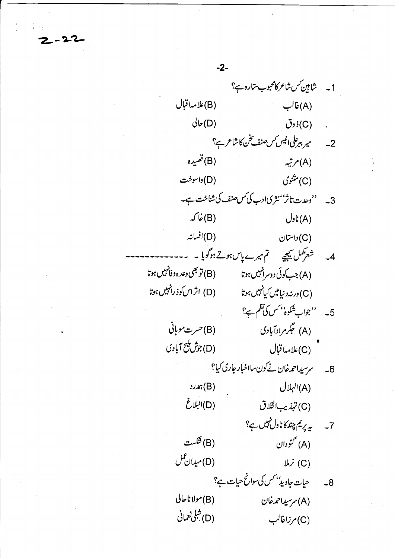1۔ شامین سشاعر کامحبوب ستارہ ہے؟ (B)علامہ!قبال  $\bigcup$ غالب $(A)$  $J_{\mathfrak{b}}(D)$ , (C) *ذو*ق 2۔ میر ببرعلی انیس *کس صنف تخن کاشاعر ہ*؟ (B) قصيده شهر شهر  $\mathcal{A}(A)$ (C)<sup>مثنوی</sup> (D) داسوخت 3۔ ''وحدت تاثر''نثریادب کی س صنف کی شناخت ہے۔  $\overline{\mathcal{J}}$ لار) ځا که  $U_2(t(A))$ (D)افسانہ  $U^{\downarrow\downarrow}(C)$ 4۔ شعرکمل کیجیے تم میرے پاس ہوتے ہوگویا ۔۔۔ (A) جب کوئی دوسرانبیں ہوتا (B) (B) تو بھی وعد ہ د فانہیں ہوتا (C) در نه دنیامیں کیانہیں ہوتا (D) اثر اس کوذ رانہیں ہوتا 5۔ ''جواب شکوہ'' کس کی نظم ہے؟ (A) جگرمرادآبادی (B) خسرت موہانی (D)جۇش<sup>ىلىي</sup>ج آبادى (C)علامہ!قبال 6۔ سرسیداحمدخان نےکون سااخبار جاری کیا؟ (A) الہلال  $\mathcal{M}(B)$ (D) البلاغ (C) تہذیب الخلاق 7۔ پریم چند کاناول نہیں ہے؟ (B) ځ*ست* (A) گمۇدان (D)ميدان عمل (C) نرملا 8۔ حیات جاویڈ بھس کی سوانح حیات ہے؟ (B)مولا ناحالي (A) سرسیداحمہ خان (D) شِلِي نَعماني (C)مرزاغالب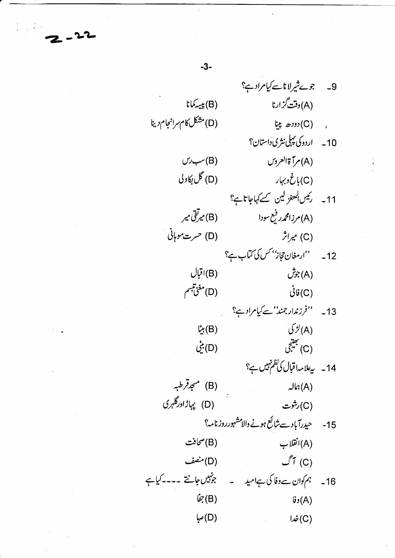9۔ جوپٹیرلاناسے کیامرادی؟ (A) وقت<sup>7</sup>زارنا (B) بېيى<sup>ك</sup>ىانا (D) مشکل کام سرانجام دینا . (C) *دودھ* پنا 10۔ اردوکی پہلی نثری داستان؟ (A) مرآة العروس  $U'$ سب (D) گل <sub>لکا</sub>ول (C)باغ دېږار 11۔ رئیں کمعنو لین سے کہاجاتاہ؟ (B) میرتقی میر (A) مرزامحم*د د*فع سودا (D) حرت موہانی (C) میراثر 12۔ ''ارمغان حجاز'' *کس کی کتا*ب ہ؟ (B) اقبال  $\mathring{\mathcal{C}}$ بوش $\mathcal{C}(A)$ (D)مغن<sup>تيسم</sup>  $\dot{\mathcal{C}}$  $G$ 13۔ ''فرزندار جمند''سے کیامراد ہے؟ بڻا $(B)$  $\forall$ لڑ کی $(A)$ (C) بھیجی (D) بني 14۔ پیعلامہاقبال کی نظم نہیں ہے؟ (B) مىجەقرطبە<br>.  $Jn(A)$ (D) یہاڑاورگلہری (C) رشوت 15- حیدرآباد سےشائع ہونے والامشہورروز نامہ؟ (A) انقلاب (B)صحافت  $\mathcal{I}^{\tau}$  (C) (D) منصف 16۔ ہم کوان سے وفا کی ہے امید ۔ جونہیں جانتے ۔۔۔کیا ہے  $\dot{\mathcal{C}}(B)$  $(A)$ وفا $(A)$ (D)صيا  $J\dot{\varphi}(C)$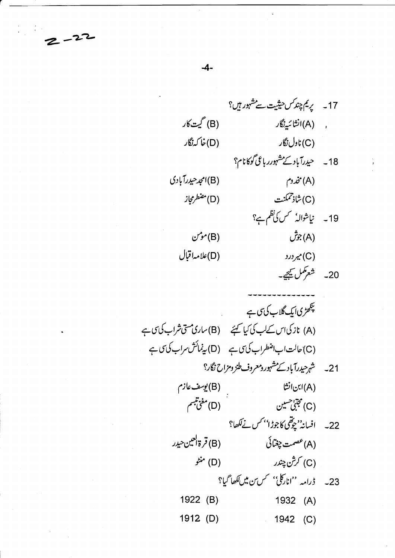

17۔ یریم چند کس حیثیت سے مشہور ہیں؟ (B) گیت کار ّ, A)انشائىيەنگار (D)خا کەنگار (C) ناول نگار 18۔ حیدرآباد کے مشہورر باعی گوکانام؟ (A) مخدوم (B)امجد حيدرآبادي (D) مضطرمجاز (C) شاذتمكنت 19۔ نیاشوالہٗ کس کی نظم ہے؟ (A) جوش  $\mathcal{L}^{\bullet}(\mathsf{B})$ (D)علامہاقبال (C) میر در د 20۔ شعر مکمل کیجے۔ پلکھڑیا ک<sup>ے</sup> گلاب کی پی ہے (A) نازكى اس كےلب كى كيا كہ تي (B) مارى مسى شراب كى مى ب (C) حالت اب اضطراب کی ی ہے (D) پینمائش سراب کی ی ہے 21۔ شہرحیدرآباد کے مشہور دمعروف طنز ومزاح نگار؟ (B) يوسف عازم (A)ابن انشا (D)مغن*تبىم* (C) مجتني حسين

22۔ افسانہ''چوتھی کاجوڑا'' *کس نے لکھ*ا؟ (B) قرة العين *حيدر* (A) عصمت چغپائی (C) كرشْن چندر (D) منڻو 23- ڈرامہ ''انارکلیٰ'' *کس بن میں لکھا گی*ا؟ 1922 (B) 1932  $(A)$ 1912 (D) 1942 (C)

 $-4-$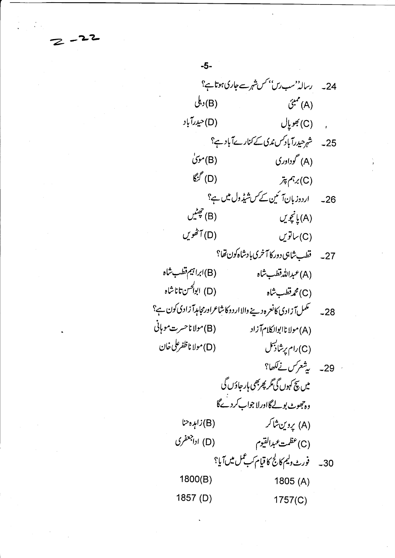24۔ رسالہ<sup>' م</sup>سب رس<sup>' م</sup>س شہرسے جاری ہوتا ہے؟ (B) دېڭى (A) ممبئی (D)حيدرآباد , (C) جويال 25 پہ شہر حیدرآباد کس ندی کے کنارےآباد ہے؟ (B) موی (A) گوداوری  $\mathcal{E}^{\mathscr{E}}(D)$  $\tilde{\mathcal{F}}(\mathrm{C})$ رہم پتر 26۔ اردوزبانآ ئین کے کس شیڈول میں ہے؟ يشيں $(B)$ (A) يانچويں (D) آٹھوس  $U^{\tilde{\mathbf{y}}}\mathsf{L}(\mathsf{C})$ 27۔ قطب شاہی دورکا آخری بادشاہ کون تھا؟ (B)ابراہیم قطب شاہ (A)عبدالله قطب شاه (D) ابوالحسن تاناشاه (C) محم**رت**طب شاہ 28۔ سمبلآزادی کانعرہ دینے والااردوکا شاعراورمجامہآ زادی کون ہے؟ (B) مولا ناحسرت موہانی (A) مولا ناابوالکلامآ زاد (D) مولا ناظفرعلى خان (C)رام پرشاپسل . 29- يشعركس نےلكھا؟ میں پیچ کہوں گی گر پھربھی ہار جاؤں گی وہ جھوٹ بولےگااورلا جواب کردےگا (A) يروين شاكر (B) زاہدہ حنا (D) اداجعفری (C) عظمت عبدالقيوم 30 بەللەرغادلىم كالج كاقيام كىب<sup>ىم</sup>ل مىل آيا؟ 1800(B) 1805 $(A)$ 1857 (D)  $1757(C)$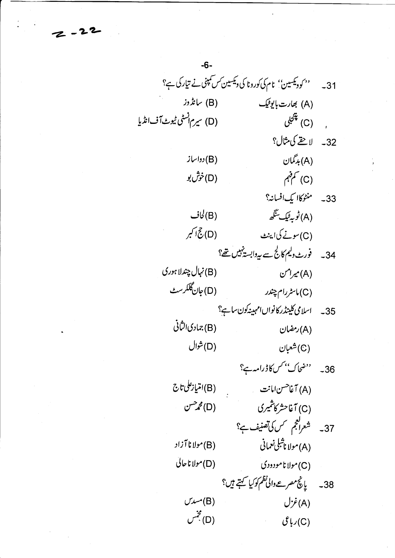31۔ سمبر دیکھین'' نام کی کورونا کی ویکسین *کس کمپن*ی نے تیارکی ہے؟ (A) بھارت بایوفیک (B) سانڈوز (D) سیرم انسٹی ٹیوٹ آف انڈیا (C) پنجې<sub>ل</sub> 32 په لاحقے کې مثال؟ (A) بدگمان (B) دواساز (D)خۇش بو (C) کم قہم 33- منٹوکاا یک افسانہ؟ (A)ڻو په ٿيڪ سنگھ (B) لجاف (D) جُ اکبر (C)سونے کیاا پنٹ 34۔ فورٹ دلیم کالج سے ہے دابست<sup>ہیں</sup> تھ؟ (B) نہال چندلا ہوری  $(\mathsf{A})$ میرامن  $(\mathsf{A})$ (D) جان گلگرسٹ (C) ماسٹررام چندر 35\_ اسلامی کلینڈر کانواں امہینہ کون ساہے؟ (B) جمادى الثانى (A)رمضان (D) شوال (C) شعبان 36۔ ''ضحاک'' *کس کا ڈرامہ*ے؟ (A) آغا<sup>حس</sup>ن امانت<br>... (C) آغاحشر کاشمیری (D) محم<sup>رس</sup>ن 37۔ شعرافجم <sup>سم</sup>س کی تصنیف ہے؟ (B)مولا نا آزاد (A) مولا ناشلی *نعم*انی (D) مولاناحالي (C)مولا نامودودی 38۔ پانچ مصر مے والی نظم کوکیا کہتے ہیں؟  $U^{\dot{\mathcal{F}}}(A)$  $U^{\prime\prime\prime\prime}(B)$ (D) مجنس  $\mathcal{E}$ رباعی $(C)$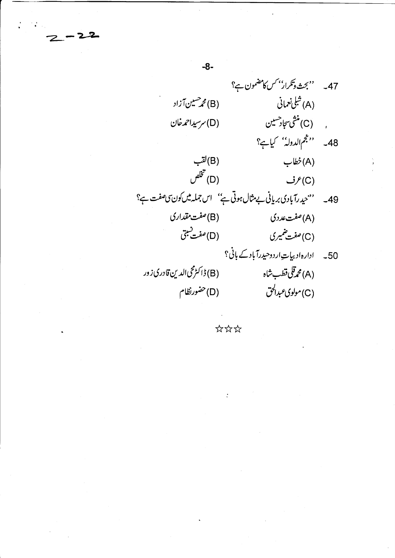'' بحث وتکرار'<sup>' ک</sup>س کامضمون ہے؟  $-47$ (A) شېلى نىمانى (B) محم<sup>صی</sup>ین آزاد (C) منشى سجادحسين (D) سرسیداحمدخان 48۔ ''جُم الدولہٰ' کیاہے؟ (B)لقب (A) خطاب (D) تخلص  $\mathcal{F}(C)$ 49۔ ''حیدرآبادی بریانی بے مثال ہوتی ہے'' اس جملہ میں کون ی صفت ہے؟ (B) صفت مقداری (A) صفت عددی (D) صفت <u>ن</u>بتي (C) صفت ضمیری 50۔ ادارہاد بیاتِ اردوحیدرآباد کے بانی؟ (B) ڈاکٹرمحیالدین قادری زور (A) محمد قلي قطب شاه (D) حضورنظام (C)مولوی *عبدالحق* 

 $-8-$ 

\*\*\*